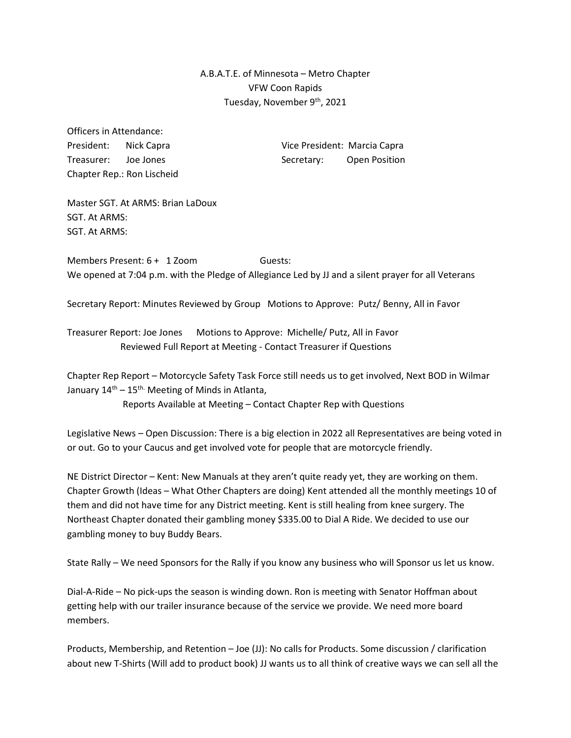## A.B.A.T.E. of Minnesota – Metro Chapter VFW Coon Rapids Tuesday, November 9th, 2021

Officers in Attendance: Chapter Rep.: Ron Lischeid

President: Nick Capra Vice President: Marcia Capra Treasurer: Joe Jones Secretary: Open Position

Master SGT. At ARMS: Brian LaDoux SGT. At ARMS: SGT. At ARMS:

Members Present: 6 + 1 Zoom Guests: We opened at 7:04 p.m. with the Pledge of Allegiance Led by JJ and a silent prayer for all Veterans

Secretary Report: Minutes Reviewed by Group Motions to Approve: Putz/ Benny, All in Favor

Treasurer Report: Joe Jones Motions to Approve: Michelle/ Putz, All in Favor Reviewed Full Report at Meeting - Contact Treasurer if Questions

Chapter Rep Report – Motorcycle Safety Task Force still needs us to get involved, Next BOD in Wilmar January  $14<sup>th</sup> - 15<sup>th</sup>$ . Meeting of Minds in Atlanta,

Reports Available at Meeting – Contact Chapter Rep with Questions

Legislative News – Open Discussion: There is a big election in 2022 all Representatives are being voted in or out. Go to your Caucus and get involved vote for people that are motorcycle friendly.

NE District Director – Kent: New Manuals at they aren't quite ready yet, they are working on them. Chapter Growth (Ideas – What Other Chapters are doing) Kent attended all the monthly meetings 10 of them and did not have time for any District meeting. Kent is still healing from knee surgery. The Northeast Chapter donated their gambling money \$335.00 to Dial A Ride. We decided to use our gambling money to buy Buddy Bears.

State Rally – We need Sponsors for the Rally if you know any business who will Sponsor us let us know.

Dial-A-Ride – No pick-ups the season is winding down. Ron is meeting with Senator Hoffman about getting help with our trailer insurance because of the service we provide. We need more board members.

Products, Membership, and Retention – Joe (JJ): No calls for Products. Some discussion / clarification about new T-Shirts (Will add to product book) JJ wants us to all think of creative ways we can sell all the